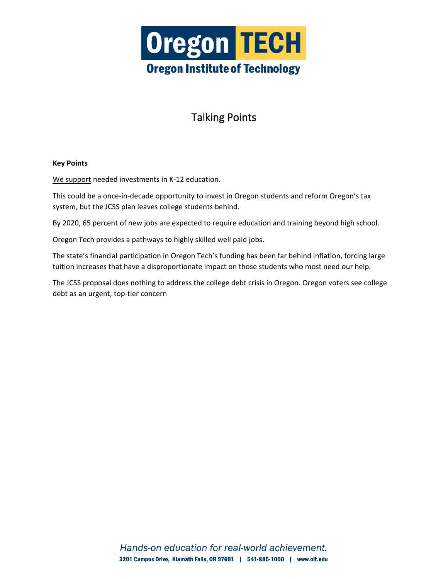

# Talking Points

#### **Key Points**

We support needed investments in K-12 education.

This could be a once-in-decade opportunity to invest in Oregon students and reform Oregon's tax system, but the JCSS plan leaves college students behind.

By 2020, 65 percent of new jobs are expected to require education and training beyond high school.

Oregon Tech provides a pathways to highly skilled well paid jobs.

The state's financial participation in Oregon Tech's funding has been far behind inflation, forcing large tuition increases that have a disproportionate impact on those students who most need our help.

The JCSS proposal does nothing to address the college debt crisis in Oregon. Oregon voters see college debt as an urgent, top-tier concern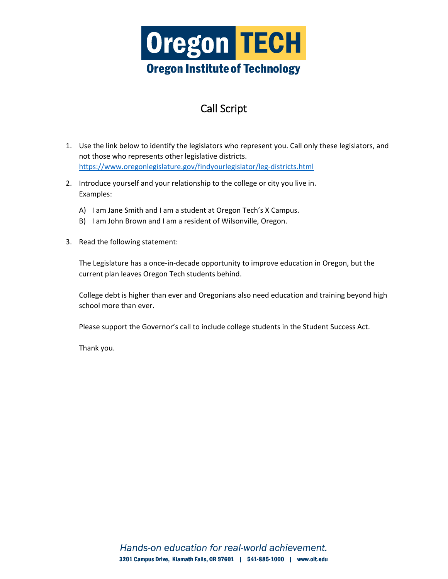

# Call Script

- 1. Use the link below to identify the legislators who represent you. Call only these legislators, and not those who represents other legislative districts. <https://www.oregonlegislature.gov/findyourlegislator/leg-districts.html>
- 2. Introduce yourself and your relationship to the college or city you live in. Examples:
	- A) I am Jane Smith and I am a student at Oregon Tech's X Campus.
	- B) I am John Brown and I am a resident of Wilsonville, Oregon.
- 3. Read the following statement:

The Legislature has a once-in-decade opportunity to improve education in Oregon, but the current plan leaves Oregon Tech students behind.

College debt is higher than ever and Oregonians also need education and training beyond high school more than ever.

Please support the Governor's call to include college students in the Student Success Act.

Thank you.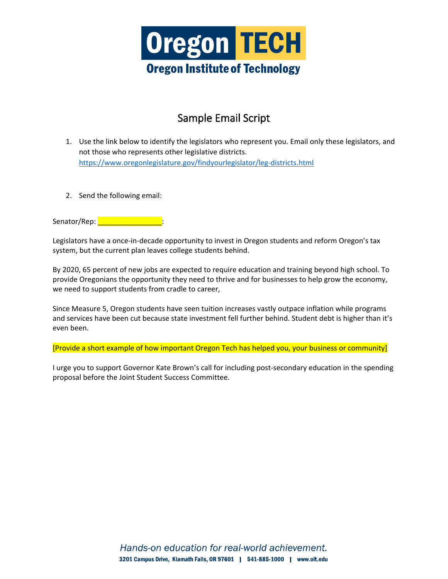

### Sample Email Script

- 1. Use the link below to identify the legislators who represent you. Email only these legislators, and not those who represents other legislative districts. <https://www.oregonlegislature.gov/findyourlegislator/leg-districts.html>
- 2. Send the following email:

Senator/Rep: **with the senator** 

Legislators have a once-in-decade opportunity to invest in Oregon students and reform Oregon's tax system, but the current plan leaves college students behind.

By 2020, 65 percent of new jobs are expected to require education and training beyond high school. To provide Oregonians the opportunity they need to thrive and for businesses to help grow the economy, we need to support students from cradle to career,

Since Measure 5, Oregon students have seen tuition increases vastly outpace inflation while programs and services have been cut because state investment fell further behind. Student debt is higher than it's even been.

[Provide a short example of how important Oregon Tech has helped you, your business or community]

I urge you to support Governor Kate Brown's call for including post-secondary education in the spending proposal before the Joint Student Success Committee.